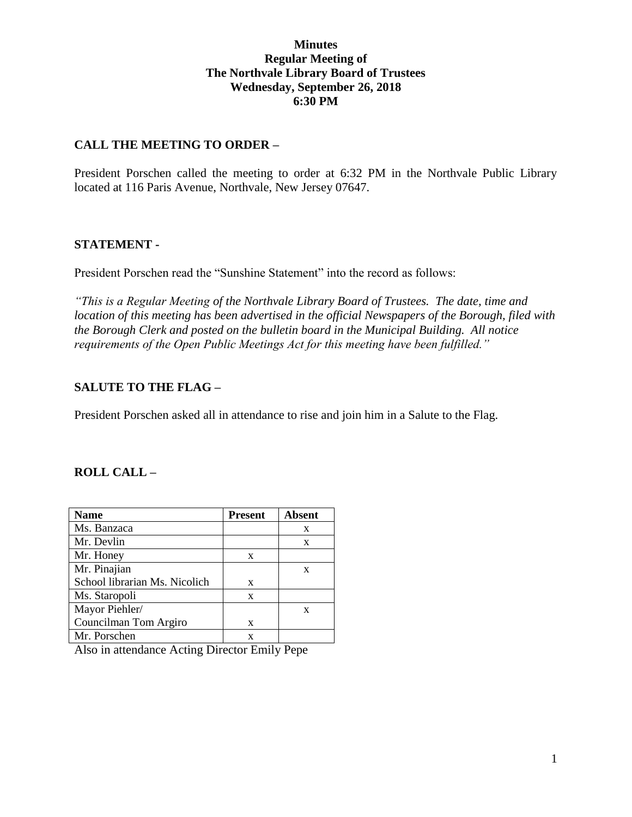### **Minutes Regular Meeting of The Northvale Library Board of Trustees Wednesday, September 26, 2018 6:30 PM**

### **CALL THE MEETING TO ORDER –**

President Porschen called the meeting to order at 6:32 PM in the Northvale Public Library located at 116 Paris Avenue, Northvale, New Jersey 07647.

#### **STATEMENT -**

President Porschen read the "Sunshine Statement" into the record as follows:

*"This is a Regular Meeting of the Northvale Library Board of Trustees. The date, time and location of this meeting has been advertised in the official Newspapers of the Borough, filed with the Borough Clerk and posted on the bulletin board in the Municipal Building. All notice requirements of the Open Public Meetings Act for this meeting have been fulfilled."* 

#### **SALUTE TO THE FLAG –**

President Porschen asked all in attendance to rise and join him in a Salute to the Flag.

#### **ROLL CALL –**

| <b>Name</b>                   | <b>Present</b> | <b>Absent</b> |
|-------------------------------|----------------|---------------|
| Ms. Banzaca                   |                | X             |
| Mr. Devlin                    |                | X             |
| Mr. Honey                     | X              |               |
| Mr. Pinajian                  |                | X             |
| School librarian Ms. Nicolich | X              |               |
| Ms. Staropoli                 | X              |               |
| Mayor Piehler/                |                | X             |
| Councilman Tom Argiro         | X              |               |
| Mr. Porschen                  |                |               |

Also in attendance Acting Director Emily Pepe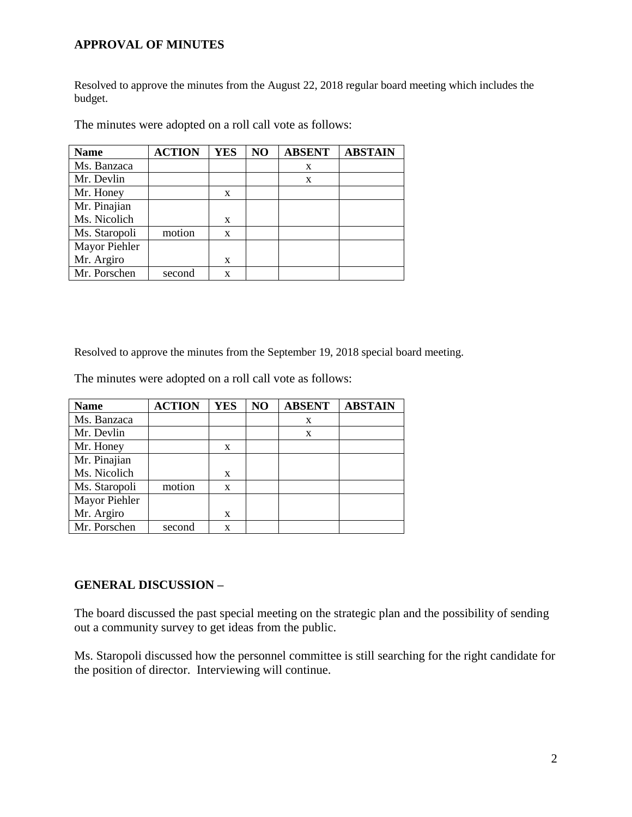### **APPROVAL OF MINUTES**

Resolved to approve the minutes from the August 22, 2018 regular board meeting which includes the budget.

| <b>Name</b>   | <b>ACTION</b> | <b>YES</b> | NO | <b>ABSENT</b> | <b>ABSTAIN</b> |
|---------------|---------------|------------|----|---------------|----------------|
| Ms. Banzaca   |               |            |    | X             |                |
| Mr. Devlin    |               |            |    | X             |                |
| Mr. Honey     |               | X          |    |               |                |
| Mr. Pinajian  |               |            |    |               |                |
| Ms. Nicolich  |               | X          |    |               |                |
| Ms. Staropoli | motion        | X          |    |               |                |
| Mayor Piehler |               |            |    |               |                |
| Mr. Argiro    |               | X          |    |               |                |
| Mr. Porschen  | second        | X          |    |               |                |

The minutes were adopted on a roll call vote as follows:

Resolved to approve the minutes from the September 19, 2018 special board meeting.

The minutes were adopted on a roll call vote as follows:

| <b>Name</b>   | <b>ACTION</b> | <b>YES</b> | NO | <b>ABSENT</b> | <b>ABSTAIN</b> |
|---------------|---------------|------------|----|---------------|----------------|
| Ms. Banzaca   |               |            |    | X             |                |
| Mr. Devlin    |               |            |    | X             |                |
| Mr. Honey     |               | X          |    |               |                |
| Mr. Pinajian  |               |            |    |               |                |
| Ms. Nicolich  |               | X          |    |               |                |
| Ms. Staropoli | motion        | X          |    |               |                |
| Mayor Piehler |               |            |    |               |                |
| Mr. Argiro    |               | X          |    |               |                |
| Mr. Porschen  | second        | X          |    |               |                |

### **GENERAL DISCUSSION –**

The board discussed the past special meeting on the strategic plan and the possibility of sending out a community survey to get ideas from the public.

Ms. Staropoli discussed how the personnel committee is still searching for the right candidate for the position of director. Interviewing will continue.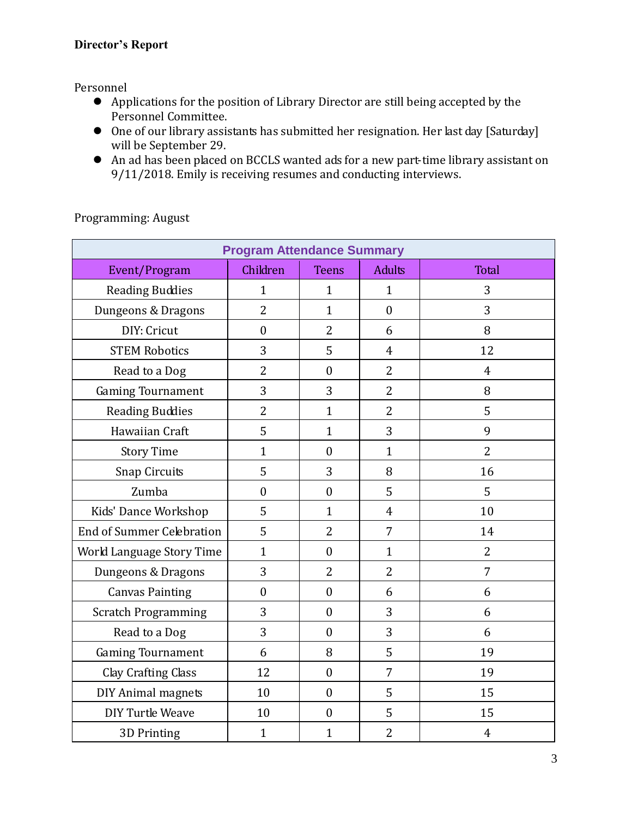## **Director's Report**

Personnel

- Applications for the position of Library Director are still being accepted by the Personnel Committee.
- One of our library assistants has submitted her resignation. Her last day [Saturday] will be September 29.
- An ad has been placed on BCCLS wanted ads for a new part-time library assistant on 9/11/2018. Emily is receiving resumes and conducting interviews.

| <b>Program Attendance Summary</b> |                  |                  |                |                |  |  |  |
|-----------------------------------|------------------|------------------|----------------|----------------|--|--|--|
| Event/Program                     | Children         | <b>Teens</b>     | <b>Adults</b>  | Total          |  |  |  |
| <b>Reading Buddies</b>            | $\mathbf{1}$     | $\mathbf{1}$     | $\mathbf{1}$   | 3              |  |  |  |
| Dungeons & Dragons                | $\overline{2}$   | $\mathbf{1}$     | $\overline{0}$ | 3              |  |  |  |
| DIY: Cricut                       | $\boldsymbol{0}$ | $\overline{2}$   | 6              | 8              |  |  |  |
| <b>STEM Robotics</b>              | 3                | 5                | $\overline{4}$ | 12             |  |  |  |
| Read to a Dog                     | $\overline{2}$   | $\boldsymbol{0}$ | $\overline{2}$ | $\overline{4}$ |  |  |  |
| <b>Gaming Tournament</b>          | 3                | 3                | $\overline{2}$ | 8              |  |  |  |
| <b>Reading Buddies</b>            | $\overline{2}$   | $\mathbf{1}$     | $\overline{2}$ | 5              |  |  |  |
| Hawaiian Craft                    | 5                | $\mathbf{1}$     | 3              | 9              |  |  |  |
| <b>Story Time</b>                 | $\mathbf{1}$     | $\overline{0}$   | $\mathbf{1}$   | $\overline{2}$ |  |  |  |
| <b>Snap Circuits</b>              | 5                | 3                | 8              | 16             |  |  |  |
| Zumba                             | $\overline{0}$   | $\overline{0}$   | 5              | 5              |  |  |  |
| Kids' Dance Workshop              | 5                | $\mathbf{1}$     | $\overline{4}$ | 10             |  |  |  |
| <b>End of Summer Celebration</b>  | 5                | $\overline{2}$   | $\overline{7}$ | 14             |  |  |  |
| World Language Story Time         | $\mathbf{1}$     | $\overline{0}$   | $\mathbf{1}$   | $\overline{2}$ |  |  |  |
| Dungeons & Dragons                | 3                | $\overline{2}$   | $\overline{2}$ | 7              |  |  |  |
| <b>Canvas Painting</b>            | $\mathbf{0}$     | $\theta$         | 6              | 6              |  |  |  |
| <b>Scratch Programming</b>        | 3                | $\overline{0}$   | 3              | 6              |  |  |  |
| Read to a Dog                     | 3                | $\boldsymbol{0}$ | 3              | 6              |  |  |  |
| <b>Gaming Tournament</b>          | 6                | 8                | 5              | 19             |  |  |  |
| Clay Crafting Class               | 12               | $\mathbf{0}$     | 7              | 19             |  |  |  |
| DIY Animal magnets                | 10               | $\overline{0}$   | 5              | 15             |  |  |  |
| <b>DIY Turtle Weave</b>           | 10               | $\boldsymbol{0}$ | 5              | 15             |  |  |  |
| 3D Printing                       | $\mathbf{1}$     | $\mathbf{1}$     | $\overline{2}$ | $\overline{4}$ |  |  |  |

Programming: August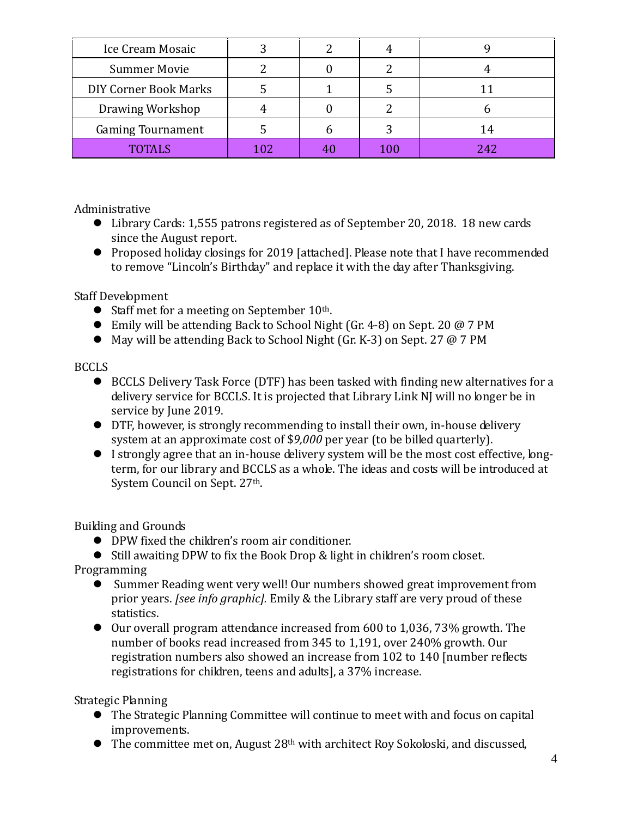| Ice Cream Mosaic             |     |     |     |
|------------------------------|-----|-----|-----|
| <b>Summer Movie</b>          |     |     |     |
| <b>DIY Corner Book Marks</b> |     |     |     |
| Drawing Workshop             |     |     |     |
| <b>Gaming Tournament</b>     |     |     | 14  |
| <b>TOTALS</b>                | 102 | 100 | 242 |

Administrative

- Library Cards: 1,555 patrons registered as of September 20, 2018. 18 new cards since the August report.
- Proposed holiday closings for 2019 [attached]. Please note that I have recommended to remove "Lincoln's Birthday" and replace it with the day after Thanksgiving.

Staff Development

- $\bullet$  Staff met for a meeting on September 10<sup>th</sup>.
- Emily will be attending Back to School Night (Gr. 4-8) on Sept. 20 @ 7 PM
- May will be attending Back to School Night (Gr. K-3) on Sept. 27 @ 7 PM

# BCCLS

- BCCLS Delivery Task Force (DTF) has been tasked with finding new alternatives for a delivery service for BCCLS. It is projected that Library Link NJ will no longer be in service by June 2019.
- DTF, however, is strongly recommending to install their own, in-house delivery system at an approximate cost of \$*9,000* per year (to be billed quarterly).
- I strongly agree that an in-house delivery system will be the most cost effective, longterm, for our library and BCCLS as a whole. The ideas and costs will be introduced at System Council on Sept. 27<sup>th</sup>.

Building and Grounds

DPW fixed the children's room air conditioner.

Still awaiting DPW to fix the Book Drop & light in children's room closet.

Programming

- Summer Reading went very well! Our numbers showed great improvement from prior years. *[see info graphic].* Emily & the Library staff are very proud of these statistics.
- $\bullet$  Our overall program attendance increased from 600 to 1,036, 73% growth. The number of books read increased from 345 to 1,191, over 240% growth. Our registration numbers also showed an increase from 102 to 140 [number reflects registrations for children, teens and adults], a 37% increase.

Strategic Planning

- The Strategic Planning Committee will continue to meet with and focus on capital improvements.
- The committee met on, August 28<sup>th</sup> with architect Roy Sokoloski, and discussed,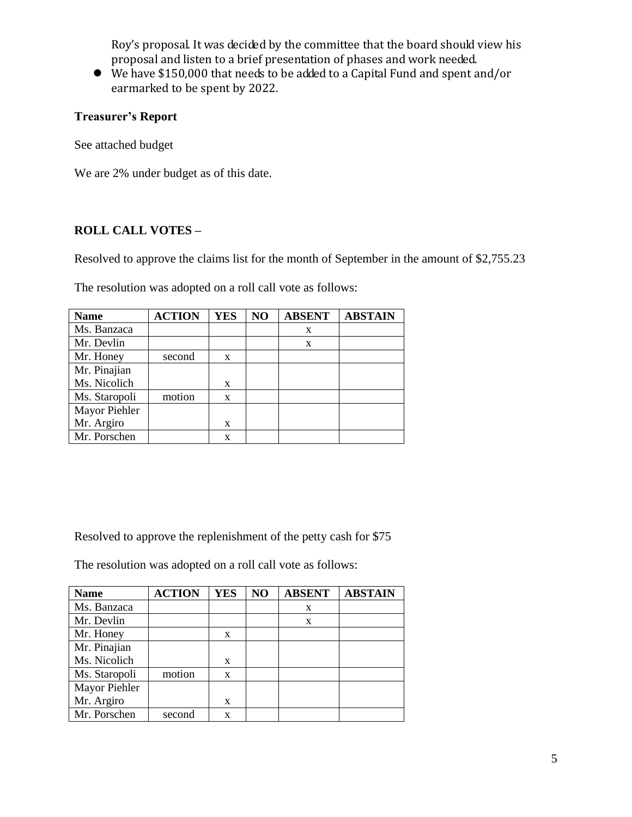Roy's proposal. It was decided by the committee that the board should view his proposal and listen to a brief presentation of phases and work needed.

 We have \$150,000 that needs to be added to a Capital Fund and spent and/or earmarked to be spent by 2022.

# **Treasurer's Report**

See attached budget

We are 2% under budget as of this date.

# **ROLL CALL VOTES –**

Resolved to approve the claims list for the month of September in the amount of \$2,755.23

The resolution was adopted on a roll call vote as follows:

| <b>Name</b>   | <b>ACTION</b> | <b>YES</b> | NO | <b>ABSENT</b> | <b>ABSTAIN</b> |
|---------------|---------------|------------|----|---------------|----------------|
| Ms. Banzaca   |               |            |    | X             |                |
| Mr. Devlin    |               |            |    | X             |                |
| Mr. Honey     | second        | X          |    |               |                |
| Mr. Pinajian  |               |            |    |               |                |
| Ms. Nicolich  |               | X          |    |               |                |
| Ms. Staropoli | motion        | X          |    |               |                |
| Mayor Piehler |               |            |    |               |                |
| Mr. Argiro    |               | X          |    |               |                |
| Mr. Porschen  |               | X          |    |               |                |

Resolved to approve the replenishment of the petty cash for \$75

The resolution was adopted on a roll call vote as follows:

| <b>Name</b>   | <b>ACTION</b> | <b>YES</b> | NO | <b>ABSENT</b> | <b>ABSTAIN</b> |
|---------------|---------------|------------|----|---------------|----------------|
| Ms. Banzaca   |               |            |    | X             |                |
| Mr. Devlin    |               |            |    | X             |                |
| Mr. Honey     |               | X          |    |               |                |
| Mr. Pinajian  |               |            |    |               |                |
| Ms. Nicolich  |               | X          |    |               |                |
| Ms. Staropoli | motion        | X          |    |               |                |
| Mayor Piehler |               |            |    |               |                |
| Mr. Argiro    |               | X          |    |               |                |
| Mr. Porschen  | second        | X          |    |               |                |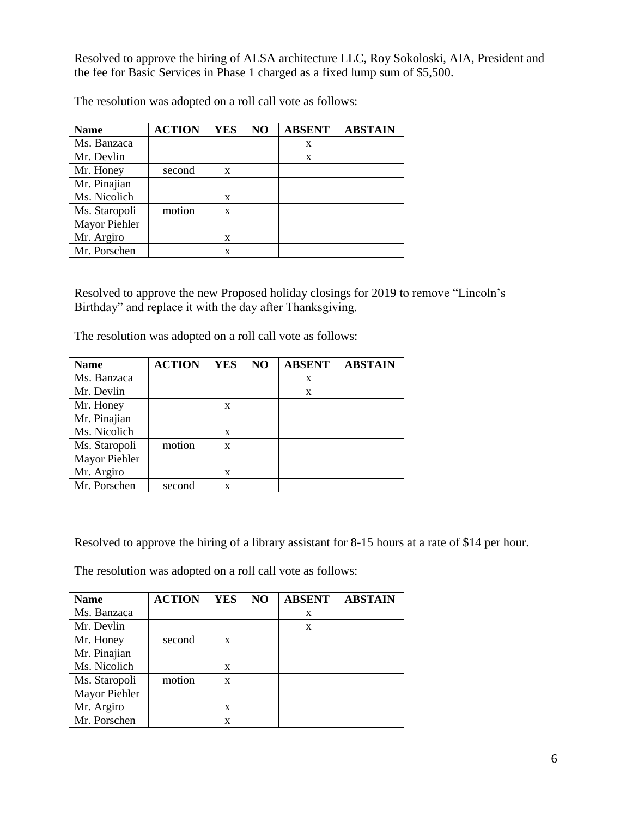Resolved to approve the hiring of ALSA architecture LLC, Roy Sokoloski, AIA, President and the fee for Basic Services in Phase 1 charged as a fixed lump sum of \$5,500.

| <b>Name</b>   | <b>ACTION</b> | <b>YES</b> | N <sub>O</sub> | <b>ABSENT</b> | <b>ABSTAIN</b> |
|---------------|---------------|------------|----------------|---------------|----------------|
| Ms. Banzaca   |               |            |                | X             |                |
| Mr. Devlin    |               |            |                | X             |                |
| Mr. Honey     | second        | X          |                |               |                |
| Mr. Pinajian  |               |            |                |               |                |
| Ms. Nicolich  |               | X          |                |               |                |
| Ms. Staropoli | motion        | X          |                |               |                |
| Mayor Piehler |               |            |                |               |                |
| Mr. Argiro    |               | X          |                |               |                |
| Mr. Porschen  |               | X          |                |               |                |

The resolution was adopted on a roll call vote as follows:

Resolved to approve the new Proposed holiday closings for 2019 to remove "Lincoln's Birthday" and replace it with the day after Thanksgiving.

The resolution was adopted on a roll call vote as follows:

| <b>Name</b>   | <b>ACTION</b> | <b>YES</b> | NO | <b>ABSENT</b> | <b>ABSTAIN</b> |
|---------------|---------------|------------|----|---------------|----------------|
| Ms. Banzaca   |               |            |    | X             |                |
| Mr. Devlin    |               |            |    | X             |                |
| Mr. Honey     |               | X          |    |               |                |
| Mr. Pinajian  |               |            |    |               |                |
| Ms. Nicolich  |               | X          |    |               |                |
| Ms. Staropoli | motion        | X          |    |               |                |
| Mayor Piehler |               |            |    |               |                |
| Mr. Argiro    |               | X          |    |               |                |
| Mr. Porschen  | second        | X          |    |               |                |

Resolved to approve the hiring of a library assistant for 8-15 hours at a rate of \$14 per hour.

The resolution was adopted on a roll call vote as follows:

| <b>Name</b>   | <b>ACTION</b> | <b>YES</b> | NO | <b>ABSENT</b> | <b>ABSTAIN</b> |
|---------------|---------------|------------|----|---------------|----------------|
| Ms. Banzaca   |               |            |    | X             |                |
| Mr. Devlin    |               |            |    | X             |                |
| Mr. Honey     | second        | X          |    |               |                |
| Mr. Pinajian  |               |            |    |               |                |
| Ms. Nicolich  |               | X          |    |               |                |
| Ms. Staropoli | motion        | X          |    |               |                |
| Mayor Piehler |               |            |    |               |                |
| Mr. Argiro    |               | X          |    |               |                |
| Mr. Porschen  |               | X          |    |               |                |